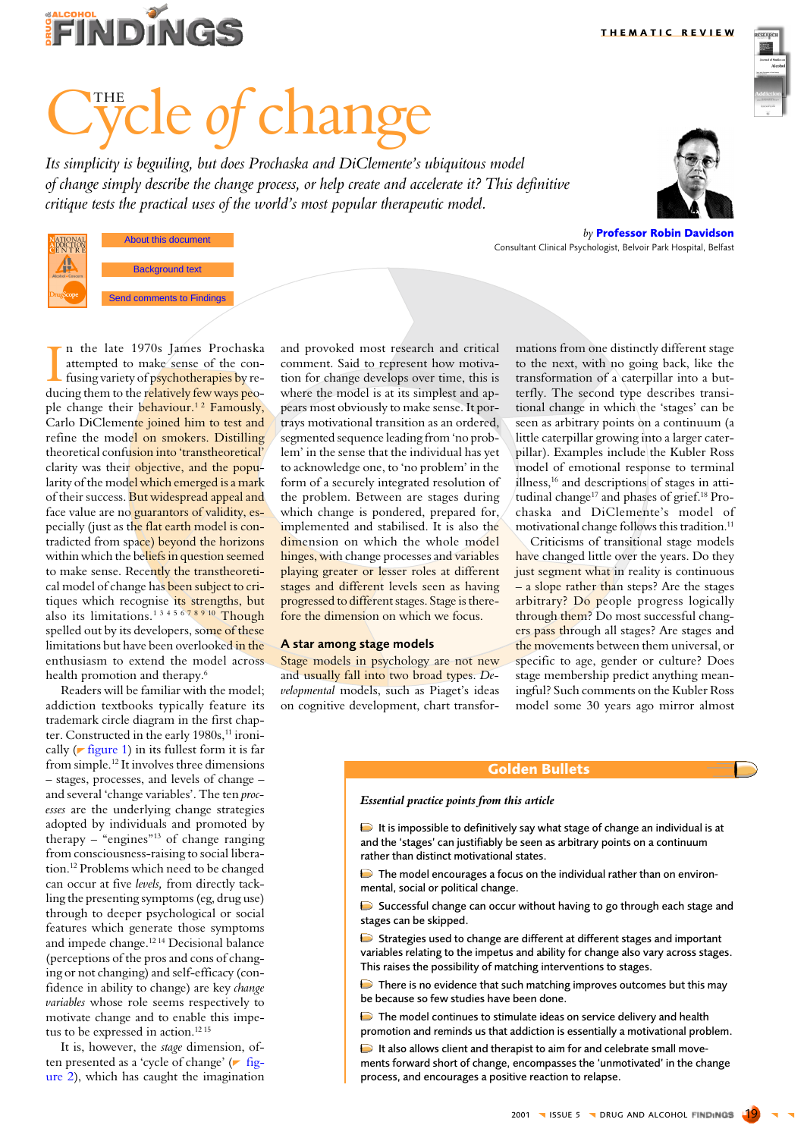**THEMATIC REVIEW** 



# e *of chang*

Its simplicity is beguiling, but does Prochaska and DiClemente's ubiquitous model of change simply describe the change process, or help create and accelerate it? This definitive critique tests the practical uses of the world's most popular therapeutic model.



About this document **ATIONAL** and the authors 2001 **Background text Send comments to Findings** 

by Professor Robin Davidson Consultant Clinical Psychologist, Belvoir Park Hospital, Belfast

n the late 1970s James Prochaska attempted to make sense of the confusing variety of psychotherapies by reducing them to the relatively few ways people change their behaviour.<sup>12</sup> Famously, Carlo DiClemente joined him to test and refine the model on smokers. Distilling theoretical confusion into 'transtheoretical' clarity was their objective, and the popularity of the model which emerged is a mark of their success. But widespread appeal and face value are no guarantors of validity, especially (just as the flat earth model is contradicted from space) beyond the horizons within which the beliefs in question seemed to make sense. Recently the transtheoretical model of change has been subject to critiques which recognise its strengths, but also its limitations.<sup>1345678910</sup> Though spelled out by its developers, some of these limitations but have been overlooked in the enthusiasm to extend the model across health promotion and therapy.<sup>6</sup>

Readers will be familiar with the model: addiction textbooks typically feature its trademark circle diagram in the first chapter. Constructed in the early 1980s,<sup>11</sup> ironically ( $\blacktriangleright$  figure 1) in its fullest form it is far from simple.<sup>12</sup> It involves three dimensions - stages, processes, and levels of change and several 'change variables'. The ten processes are the underlying change strategies adopted by individuals and promoted by therapy  $-$  "engines"<sup>13</sup> of change ranging from consciousness-raising to social liberation.<sup>12</sup> Problems which need to be changed can occur at five levels, from directly tackling the presenting symptoms (eg, drug use) through to deeper psychological or social features which generate those symptoms and impede change.<sup>1214</sup> Decisional balance (perceptions of the pros and cons of changing or not changing) and self-efficacy (confidence in ability to change) are key change variables whose role seems respectively to motivate change and to enable this impetus to be expressed in action.<sup>12 15</sup>

It is, however, the *stage* dimension, often presented as a 'cycle of change' (r figure 2), which has caught the imagination and provoked most research and critical comment. Said to represent how motivation for change develops over time, this is where the model is at its simplest and appears most obviously to make sense. It portrays motivational transition as an ordered, segmented sequence leading from 'no problem' in the sense that the individual has yet to acknowledge one, to 'no problem' in the form of a securely integrated resolution of the problem. Between are stages during which change is pondered, prepared for, implemented and stabilised. It is also the dimension on which the whole model hinges, with change processes and variables playing greater or lesser roles at different stages and different levels seen as having progressed to different stages. Stage is therefore the dimension on which we focus.

#### A star among stage models

Stage models in psychology are not new and usually fall into two broad types. Developmental models, such as Piaget's ideas on cognitive development, chart transformations from one distinctly different stage to the next, with no going back, like the transformation of a caterpillar into a butterfly. The second type describes transitional change in which the 'stages' can be seen as arbitrary points on a continuum (a little caterpillar growing into a larger caterpillar). Examples include the Kubler Ross model of emotional response to terminal illness,<sup>16</sup> and descriptions of stages in attitudinal change<sup>17</sup> and phases of grief.<sup>18</sup> Prochaska and DiClemente's model of motivational change follows this tradition.<sup>11</sup> Criticisms of transitional stage models

have changed little over the years. Do they just segment what in reality is continuous  $-$  a slope rather than steps? Are the stages arbitrary? Do people progress logically through them? Do most successful changers pass through all stages? Are stages and the movements between them universal, or specific to age, gender or culture? Does stage membership predict anything meaningful? Such comments on the Kubler Ross model some 30 years ago mirror almost

#### **Golden Bullets**

#### Essential practice points from this article

 $\triangleright$  It is impossible to definitively say what stage of change an individual is at and the 'stages' can justifiably be seen as arbitrary points on a continuum rather than distinct motivational states.

 $\triangleright$  The model encourages a focus on the individual rather than on environmental, social or political change.

Successful change can occur without having to go through each stage and stages can be skipped.

Strategies used to change are different at different stages and important variables relating to the impetus and ability for change also vary across stages. This raises the possibility of matching interventions to stages.

There is no evidence that such matching improves outcomes but this may be because so few studies have been done.

The model continues to stimulate ideas on service delivery and health promotion and reminds us that addiction is essentially a motivational problem.

It also allows client and therapist to aim for and celebrate small movements forward short of change, encompasses the 'unmotivated' in the change process, and encourages a positive reaction to relapse.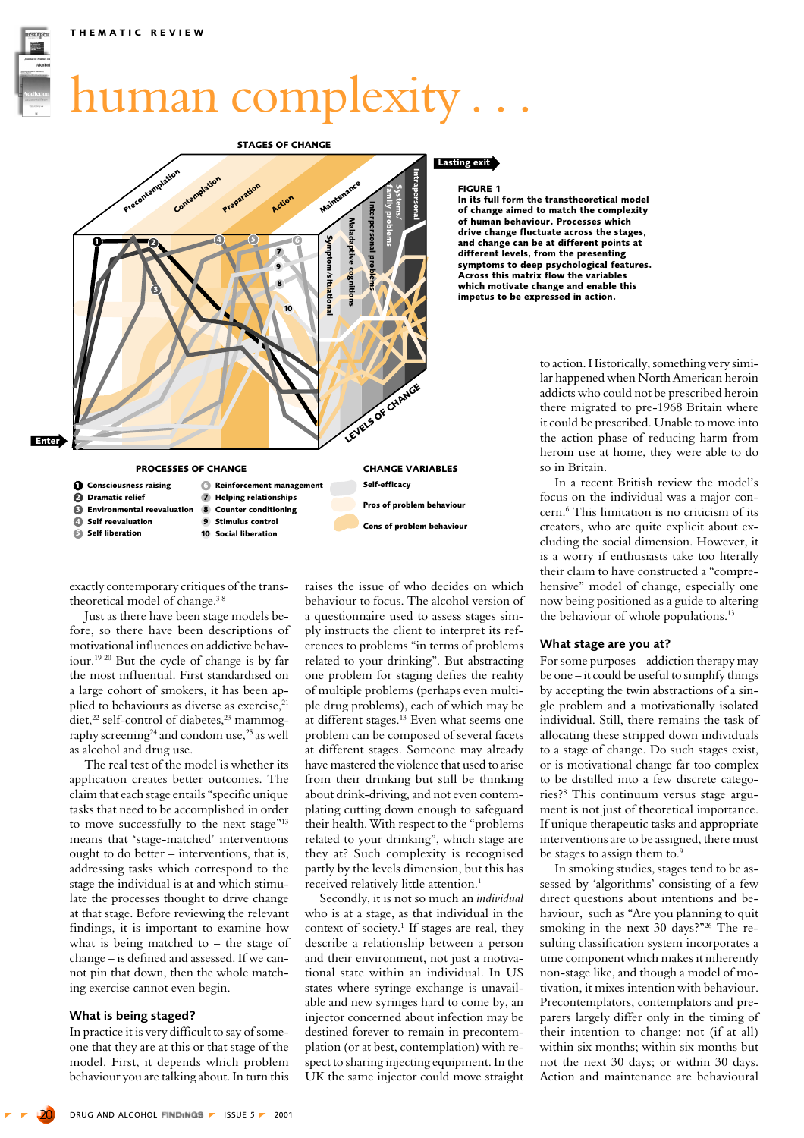## <span id="page-1-0"></span>human complexity.



exactly contemporary critiques of the transtheoretical model of change.<sup>38</sup>

Just as there have been stage models before, so there have been descriptions of motivational influences on addictive behaviour.<sup>1920</sup> But the cycle of change is by far the most influential. First standardised on a large cohort of smokers, it has been applied to behaviours as diverse as exercise,<sup>21</sup> diet,<sup>22</sup> self-control of diabetes,<sup>23</sup> mammography screening $^{24}$  and condom use, $^{25}$  as well as alcohol and drug use.

The real test of the model is whether its application creates better outcomes. The claim that each stage entails "specific unique tasks that need to be accomplished in order to move successfully to the next stage"<sup>13</sup> means that 'stage-matched' interventions ought to do better – interventions, that is, addressing tasks which correspond to the stage the individual is at and which stimulate the processes thought to drive change at that stage. Before reviewing the relevant findings, it is important to examine how what is being matched to – the stage of change – is defined and assessed. If we cannot pin that down, then the whole matching exercise cannot even begin.

#### What is being staged?

In practice it is very difficult to say of someone that they are at this or that stage of the model. First, it depends which problem behaviour you are talking about. In turn this raises the issue of who decides on which behaviour to focus. The alcohol version of a questionnaire used to assess stages simply instructs the client to interpret its references to problems "in terms of problems related to your drinking". But abstracting one problem for staging defies the reality of multiple problems (perhaps even multiple drug problems), each of which may be at different stages.<sup>13</sup> Even what seems one problem can be composed of several facets at different stages. Someone may already have mastered the violence that used to arise from their drinking but still be thinking about drink-driving, and not even contemplating cutting down enough to safeguard their health. With respect to the "problems related to your drinking", which stage are they at? Such complexity is recognised partly by the levels dimension, but this has received relatively little attention.<sup>1</sup>

Secondly, it is not so much an *individual* who is at a stage, as that individual in the context of society.<sup>1</sup> If stages are real, they describe a relationship between a person and their environment, not just a motivational state within an individual. In US states where syringe exchange is unavailable and new syringes hard to come by, an injector concerned about infection may be destined forever to remain in precontemplation (or at best, contemplation) with respect to sharing injecting equipment. In the UK the same injector could move straight

#### **FIGURE 1**

In its full form the transtheoretical model of change aimed to match the complexity of human behaviour. Processes which drive change fluctuate across the stages. and change can be at different points at different levels, from the presenting symptoms to deep psychological features. **Across this matrix flow the variables** which motivate change and enable this impetus to be expressed in action.

> to action. Historically, something very similar happened when North American heroin addicts who could not be prescribed heroin there migrated to pre-1968 Britain where it could be prescribed. Unable to move into the action phase of reducing harm from heroin use at home, they were able to do so in Britain.

> In a recent British review the model's focus on the individual was a major concern.<sup>6</sup> This limitation is no criticism of its creators, who are quite explicit about excluding the social dimension. However, it is a worry if enthusiasts take too literally their claim to have constructed a "comprehensive" model of change, especially one now being positioned as a guide to altering the behaviour of whole populations.<sup>13</sup>

#### What stage are you at?

For some purposes – addiction therapy may be one – it could be useful to simplify things by accepting the twin abstractions of a single problem and a motivationally isolated individual. Still, there remains the task of allocating these stripped down individuals to a stage of change. Do such stages exist, or is motivational change far too complex to be distilled into a few discrete categories?<sup>8</sup> This continuum versus stage argument is not just of theoretical importance. If unique therapeutic tasks and appropriate interventions are to be assigned, there must be stages to assign them to.<sup>9</sup>

In smoking studies, stages tend to be assessed by 'algorithms' consisting of a few direct questions about intentions and behaviour, such as "Are you planning to quit smoking in the next 30 days?"<sup>26</sup> The resulting classification system incorporates a time component which makes it inherently non-stage like, and though a model of motivation, it mixes intention with behaviour. Precontemplators, contemplators and preparers largely differ only in the timing of their intention to change: not (if at all) within six months: within six months but not the next 30 days; or within 30 days. Action and maintenance are behavioural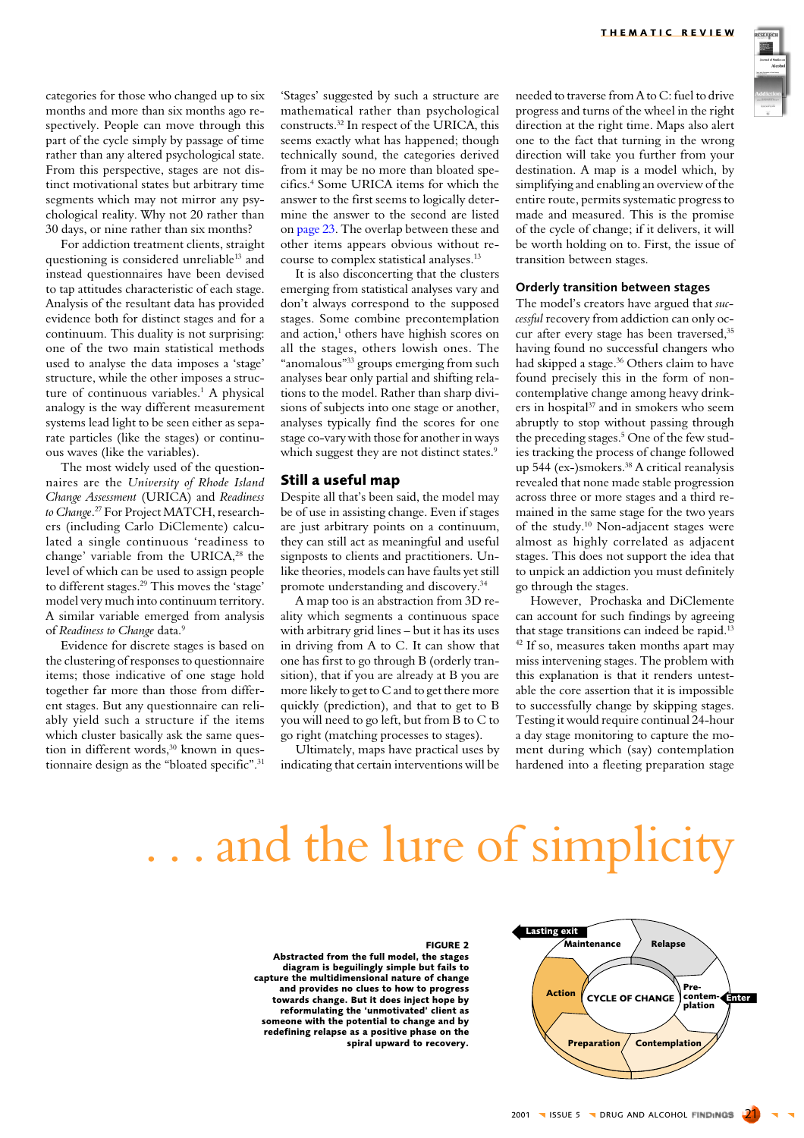<span id="page-2-0"></span>categories for those who changed up to six months and more than six months ago respectively. People can move through this part of the cycle simply by passage of time rather than any altered psychological state. From this perspective, stages are not distinct motivational states but arbitrary time segments which may not mirror any psychological reality. Why not 20 rather than 30 days, or nine rather than six months?

For addiction treatment clients, straight questioning is considered unreliable<sup>13</sup> and instead questionnaires have been devised to tap attitudes characteristic of each stage. Analysis of the resultant data has provided evidence both for distinct stages and for a continuum. This duality is not surprising: one of the two main statistical methods used to analyse the data imposes a 'stage' structure, while the other imposes a structure of continuous variables.<sup>1</sup> A physical analogy is the way different measurement systems lead light to be seen either as separate particles (like the stages) or continuous waves (like the variables).

The most widely used of the questionnaires are the University of Rhode Island Change Assessment (URICA) and Readiness to Change.<sup>27</sup> For Project MATCH, researchers (including Carlo DiClemente) calculated a single continuous 'readiness to change' variable from the URICA,<sup>28</sup> the level of which can be used to assign people to different stages.<sup>29</sup> This moves the 'stage' model very much into continuum territory. A similar variable emerged from analysis of Readiness to Change data.9

Evidence for discrete stages is based on the clustering of responses to questionnaire items; those indicative of one stage hold together far more than those from different stages. But any questionnaire can reliably yield such a structure if the items which cluster basically ask the same question in different words,<sup>30</sup> known in questionnaire design as the "bloated specific".<sup>31</sup> 'Stages' suggested by such a structure are mathematical rather than psychological constructs.<sup>32</sup> In respect of the URICA, this seems exactly what has happened; though technically sound, the categories derived from it may be no more than bloated specifics.<sup>4</sup> Some URICA items for which the answer to the first seems to logically determine the answer to the second are listed on page 23. The overlap between these and other items appears obvious without recourse to complex statistical analyses.<sup>13</sup>

It is also disconcerting that the clusters emerging from statistical analyses vary and don't always correspond to the supposed stages. Some combine precontemplation and action,<sup>1</sup> others have highish scores on all the stages, others lowish ones. The "anomalous"<sup>33</sup> groups emerging from such analyses bear only partial and shifting relations to the model. Rather than sharp divisions of subjects into one stage or another, analyses typically find the scores for one stage co-vary with those for another in ways which suggest they are not distinct states.<sup>9</sup>

#### Still a useful map

Despite all that's been said, the model may be of use in assisting change. Even if stages are just arbitrary points on a continuum, they can still act as meaningful and useful signposts to clients and practitioners. Unlike theories, models can have faults yet still promote understanding and discovery.<sup>34</sup>

A map too is an abstraction from 3D reality which segments a continuous space with arbitrary grid lines - but it has its uses in driving from A to C. It can show that one has first to go through B (orderly transition), that if you are already at B you are more likely to get to C and to get there more quickly (prediction), and that to get to B you will need to go left, but from B to C to go right (matching processes to stages).

Ultimately, maps have practical uses by indicating that certain interventions will be needed to traverse from A to C: fuel to drive progress and turns of the wheel in the right direction at the right time. Maps also alert one to the fact that turning in the wrong direction will take you further from your destination. A map is a model which, by simplifying and enabling an overview of the entire route, permits systematic progress to made and measured. This is the promise of the cycle of change; if it delivers, it will be worth holding on to. First, the issue of transition between stages.

#### Orderly transition between stages

The model's creators have argued that successful recovery from addiction can only occur after every stage has been traversed,<sup>35</sup> having found no successful changers who had skipped a stage.<sup>36</sup> Others claim to have found precisely this in the form of noncontemplative change among heavy drinkers in hospital<sup>37</sup> and in smokers who seem abruptly to stop without passing through the preceding stages.<sup>5</sup> One of the few studies tracking the process of change followed up 544 (ex-)smokers.<sup>38</sup> A critical reanalysis revealed that none made stable progression across three or more stages and a third remained in the same stage for the two years of the study.<sup>10</sup> Non-adjacent stages were almost as highly correlated as adjacent stages. This does not support the idea that to unpick an addiction you must definitely go through the stages.

However. Prochaska and DiClemente can account for such findings by agreeing that stage transitions can indeed be rapid.<sup>13</sup> <sup>42</sup> If so, measures taken months apart may miss intervening stages. The problem with this explanation is that it renders untestable the core assertion that it is impossible to successfully change by skipping stages. Testing it would require continual 24-hour a day stage monitoring to capture the moment during which (say) contemplation hardened into a fleeting preparation stage

### ... and the lure of simplicity



#### **FIGURE 2**

Abstracted from the full model, the stages diagram is beguilingly simple but fails to capture the multidimensional nature of change and provides no clues to how to progress towards change. But it does inject hope by reformulating the 'unmotivated' client as someone with the potential to change and by redefining relapse as a positive phase on the spiral upward to recovery.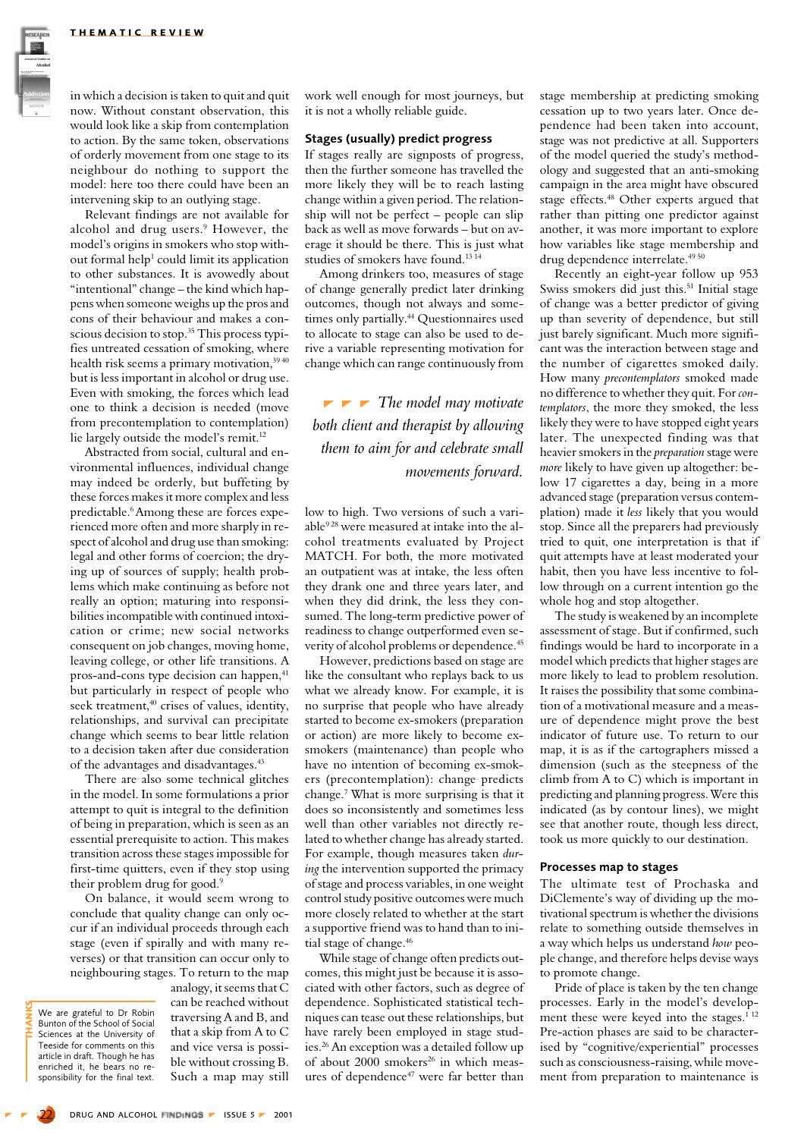in which a decision is taken to quit and quit now. Without constant observation, this would look like a skip from contemplation to action. By the same token, observations of orderly movement from one stage to its neighbour do nothing to support the model: here too there could have been an intervening skip to an outlying stage.

Relevant findings are not available for alcohol and drug users.<sup>9</sup> However, the model's origins in smokers who stop without formal help<sup>1</sup> could limit its application to other substances. It is avowedly about "intentional" change – the kind which happens when someone weighs up the pros and cons of their behaviour and makes a conscious decision to stop.<sup>35</sup> This process typifies untreated cessation of smoking, where health risk seems a primary motivation, 39 40 but is less important in alcohol or drug use. Even with smoking, the forces which lead one to think a decision is needed (move from precontemplation to contemplation) lie largely outside the model's remit.<sup>12</sup>

Abstracted from social, cultural and environmental influences, individual change may indeed be orderly, but buffeting by these forces makes it more complex and less predictable.<sup>6</sup> Among these are forces experienced more often and more sharply in respect of alcohol and drug use than smoking: legal and other forms of coercion; the drying up of sources of supply; health problems which make continuing as before not really an option; maturing into responsibilities incompatible with continued intoxication or crime; new social networks consequent on job changes, moving home. leaving college, or other life transitions. A pros-and-cons type decision can happen.<sup>41</sup> but particularly in respect of people who seek treatment,<sup>40</sup> crises of values, identity, relationships, and survival can precipitate change which seems to bear little relation to a decision taken after due consideration of the advantages and disadvantages.<sup>43</sup>

There are also some technical glitches in the model. In some formulations a prior attempt to quit is integral to the definition of being in preparation, which is seen as an essential prerequisite to action. This makes transition across these stages impossible for first-time quitters, even if they stop using their problem drug for good.<sup>9</sup>

On balance, it would seem wrong to conclude that quality change can only occur if an individual proceeds through each stage (even if spirally and with many reverses) or that transition can occur only to neighbouring stages. To return to the map

We are grateful to Dr Robin<br>Bunton of the School of Social Sciences at the University of Teeside for comments on this article in draft. Though he has enriched it. he bears no responsibility for the final text.

analogy, it seems that C can be reached without traversing A and B, and that a skip from A to C and vice versa is possible without crossing B. Such a map may still

work well enough for most journeys, but it is not a wholly reliable guide.

#### **Stages (usually) predict progress**

If stages really are signposts of progress, then the further someone has travelled the more likely they will be to reach lasting change within a given period. The relationship will not be perfect - people can slip back as well as move forwards - but on average it should be there. This is just what studies of smokers have found.<sup>1314</sup>

Among drinkers too, measures of stage of change generally predict later drinking outcomes, though not always and sometimes only partially.<sup>44</sup> Questionnaires used to allocate to stage can also be used to derive a variable representing motivation for change which can range continuously from

 $\blacktriangleright$   $\blacktriangleright$  The model may motivate both client and therapist by allowing them to aim for and celebrate small movements forward.

low to high. Two versions of such a variable<sup>928</sup> were measured at intake into the alcohol treatments evaluated by Project MATCH. For both, the more motivated an outpatient was at intake, the less often they drank one and three years later, and when they did drink, the less they consumed. The long-term predictive power of readiness to change outperformed even severity of alcohol problems or dependence.<sup>45</sup>

However, predictions based on stage are like the consultant who replays back to us what we already know. For example, it is no surprise that people who have already started to become ex-smokers (preparation or action) are more likely to become exsmokers (maintenance) than people who have no intention of becoming ex-smokers (precontemplation): change predicts change.<sup>7</sup> What is more surprising is that it does so inconsistently and sometimes less well than other variables not directly related to whether change has already started. For example, though measures taken dur*ing* the intervention supported the primacy of stage and process variables, in one weight control study positive outcomes were much more closely related to whether at the start a supportive friend was to hand than to initial stage of change.<sup>46</sup>

While stage of change often predicts outcomes, this might just be because it is associated with other factors, such as degree of dependence. Sophisticated statistical techniques can tease out these relationships, but have rarely been emploved in stage studies.<sup>26</sup> An exception was a detailed follow up of about 2000 smokers<sup>26</sup> in which measures of dependence<sup>47</sup> were far better than stage membership at predicting smoking cessation up to two years later. Once dependence had been taken into account, stage was not predictive at all. Supporters of the model queried the study's methodology and suggested that an anti-smoking campaign in the area might have obscured stage effects.<sup>48</sup> Other experts argued that rather than pitting one predictor against another, it was more important to explore how variables like stage membership and drug dependence interrelate.<sup>49 50</sup>

Recently an eight-year follow up 953 Swiss smokers did just this.<sup>51</sup> Initial stage of change was a better predictor of giving up than severity of dependence, but still just barely significant. Much more significant was the interaction between stage and the number of cigarettes smoked daily. How many precontemplators smoked made no difference to whether they quit. For contemplators, the more they smoked, the less likely they were to have stopped eight years later. The unexpected finding was that heavier smokers in the *preparation* stage were more likely to have given up altogether: below 17 cigarettes a day, being in a more advanced stage (preparation versus contemplation) made it less likely that you would stop. Since all the preparers had previously tried to quit, one interpretation is that if quit attempts have at least moderated your habit, then you have less incentive to follow through on a current intention go the whole hog and stop altogether.

The study is weakened by an incomplete assessment of stage. But if confirmed, such findings would be hard to incorporate in a model which predicts that higher stages are more likely to lead to problem resolution. It raises the possibility that some combination of a motivational measure and a measure of dependence might prove the best indicator of future use. To return to our map, it is as if the cartographers missed a dimension (such as the steepness of the climb from A to C) which is important in predicting and planning progress. Were this indicated (as by contour lines), we might see that another route, though less direct. took us more quickly to our destination.

#### Processes map to stages

The ultimate test of Prochaska and DiClemente's way of dividing up the motivational spectrum is whether the divisions relate to something outside themselves in a way which helps us understand how people change, and therefore helps devise ways to promote change.

Pride of place is taken by the ten change processes. Early in the model's development these were keyed into the stages.<sup>112</sup> Pre-action phases are said to be characterised by "cognitive/experiential" processes such as consciousness-raising, while movement from preparation to maintenance is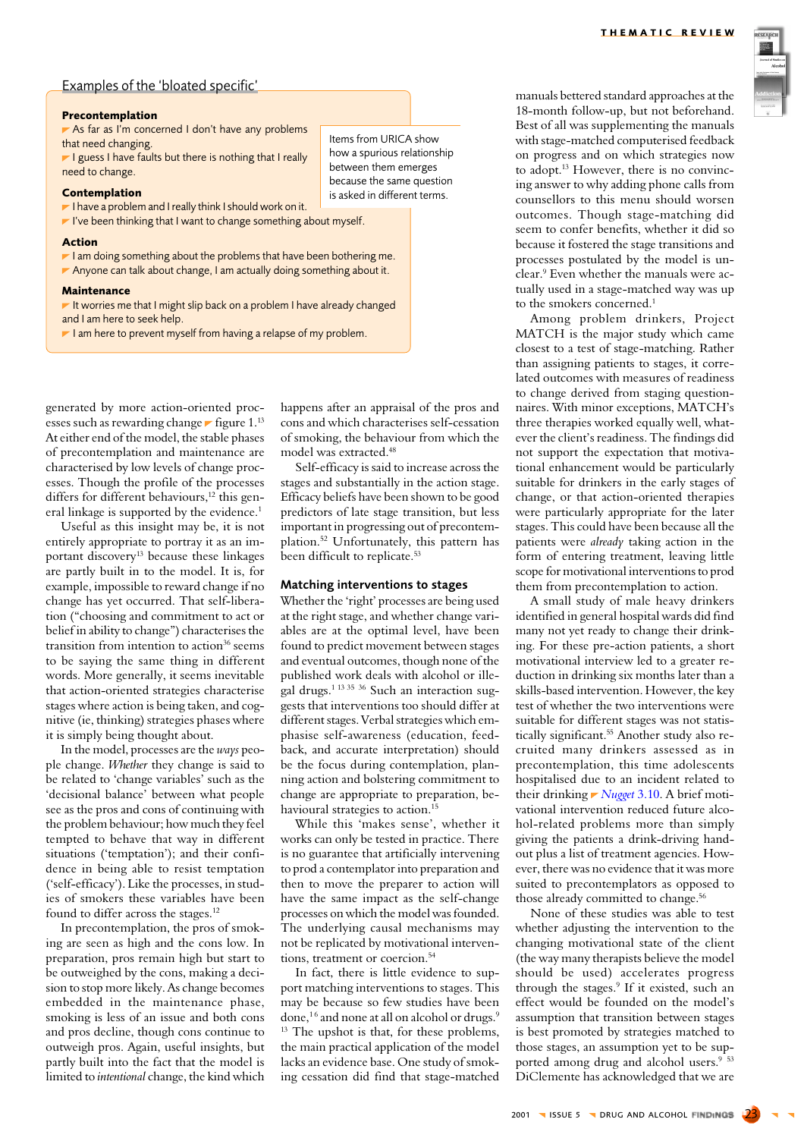

### <span id="page-4-0"></span>Examples of the 'bloated specific'

#### Precontemplation

As far as I'm concerned I don't have any problems that need changing.

I guess I have faults but there is nothing that I really need to change.

#### Contemplation

I have a problem and I really think I should work on it.

I've been thinking that I want to change something about myself.

#### **Action**

- $\blacktriangleright$  I am doing something about the problems that have been bothering me.
- Anyone can talk about change, I am actually doing something about it.

#### **Maintenance**

It worries me that I might slip back on a problem I have already changed and I am here to seek help.

I am here to prevent myself from having a relapse of my problem.

generated by more action-oriented processes such as rewarding change  $\blacktriangleright$  figure 1.<sup>13</sup> At either end of the model, the stable phases of precontemplation and maintenance are characterised by low levels of change processes. Though the profile of the processes differs for different behaviours.<sup>12</sup> this general linkage is supported by the evidence.<sup>1</sup>

Useful as this insight may be, it is not entirely appropriate to portray it as an important discovery<sup>13</sup> because these linkages are partly built in to the model. It is, for example, impossible to reward change if no change has yet occurred. That self-liberation ("choosing and commitment to act or belief in ability to change") characterises the transition from intention to action<sup>36</sup> seems to be saying the same thing in different words. More generally, it seems inevitable that action-oriented strategies characterise stages where action is being taken, and cognitive (ie, thinking) strategies phases where it is simply being thought about.

In the model, processes are the ways people change. Whether they change is said to be related to 'change variables' such as the 'decisional balance' between what people see as the pros and cons of continuing with the problem behaviour; how much they feel tempted to behave that way in different situations ('temptation'); and their confidence in being able to resist temptation ('self-efficacy'). Like the processes, in studies of smokers these variables have been found to differ across the stages.<sup>12</sup>

In precontemplation, the pros of smoking are seen as high and the cons low. In preparation, pros remain high but start to be outweighed by the cons, making a decision to stop more likely. As change becomes embedded in the maintenance phase. smoking is less of an issue and both cons and pros decline, though cons continue to outweigh pros. Again, useful insights, but partly built into the fact that the model is limited to intentional change, the kind which

happens after an appraisal of the pros and cons and which characterises self-cessation of smoking, the behaviour from which the model was extracted.<sup>48</sup>

Items from URICA show

between them emerges

how a spurious relationship

because the same question

is asked in different terms.

Self-efficacy is said to increase across the stages and substantially in the action stage. Efficacy beliefs have been shown to be good predictors of late stage transition, but less important in progressing out of precontemplation.<sup>52</sup> Unfortunately, this pattern has been difficult to replicate.<sup>53</sup>

#### Matching interventions to stages

Whether the 'right' processes are being used at the right stage, and whether change variables are at the optimal level, have been found to predict movement between stages and eventual outcomes, though none of the published work deals with alcohol or illeeal drugs.<sup>1 13 35</sup> 36 Such an interaction suggests that interventions too should differ at different stages. Verbal strategies which emphasise self-awareness (education, feedback, and accurate interpretation) should be the focus during contemplation, planning action and bolstering commitment to change are appropriate to preparation, behavioural strategies to action.<sup>15</sup>

While this 'makes sense', whether it works can only be tested in practice. There is no guarantee that artificially intervening to prod a contemplator into preparation and then to move the preparer to action will have the same impact as the self-change processes on which the model was founded. The underlying causal mechanisms may not be replicated by motivational interventions, treatment or coercion.<sup>54</sup>

In fact, there is little evidence to support matching interventions to stages. This may be because so few studies have been done,<sup>16</sup> and none at all on alcohol or drugs.<sup>9</sup> <sup>13</sup> The upshot is that, for these problems. the main practical application of the model lacks an evidence base. One study of smoking cessation did find that stage-matched manuals bettered standard approaches at the 18-month follow-up, but not beforehand. Best of all was supplementing the manuals with stage-matched computerised feedback on progress and on which strategies now to adopt.<sup>13</sup> However, there is no convincing answer to why adding phone calls from counsellors to this menu should worsen outcomes. Though stage-matching did seem to confer benefits, whether it did so because it fostered the stage transitions and processes postulated by the model is unclear.<sup>9</sup> Even whether the manuals were actually used in a stage-matched way was up to the smokers concerned.<sup>1</sup>

Among problem drinkers, Project MATCH is the major study which came closest to a test of stage-matching. Rather than assigning patients to stages, it correlated outcomes with measures of readiness to change derived from staging questionnaires. With minor exceptions, MATCH's three therapies worked equally well, whatever the client's readiness. The findings did not support the expectation that motivational enhancement would be particularly suitable for drinkers in the early stages of change, or that action-oriented therapies were particularly appropriate for the later stages. This could have been because all the patients were *already* taking action in the form of entering treatment, leaving little scope for motivational interventions to prod them from precontemplation to action.

A small study of male heavy drinkers identified in general hospital wards did find many not yet ready to change their drinking. For these pre-action patients, a short motivational interview led to a greater reduction in drinking six months later than a skills-based intervention. However, the key test of whether the two interventions were suitable for different stages was not statistically significant.<sup>55</sup> Another study also recruited many drinkers assessed as in precontemplation, this time adolescents hospitalised due to an incident related to their drinking  $\blacktriangleright$  Nugget 3.10. A brief motivational intervention reduced future alcohol-related problems more than simply giving the patients a drink-driving handout plus a list of treatment agencies. However, there was no evidence that it was more suited to precontemplators as opposed to those already committed to change.<sup>56</sup>

None of these studies was able to test whether adjusting the intervention to the changing motivational state of the client (the way many therapists believe the model should be used) accelerates progress through the stages.<sup>9</sup> If it existed, such an effect would be founded on the model's assumption that transition between stages is best promoted by strategies matched to those stages, an assumption yet to be supported among drug and alcohol users.<sup>9</sup> <sup>53</sup> DiClemente has acknowledged that we are